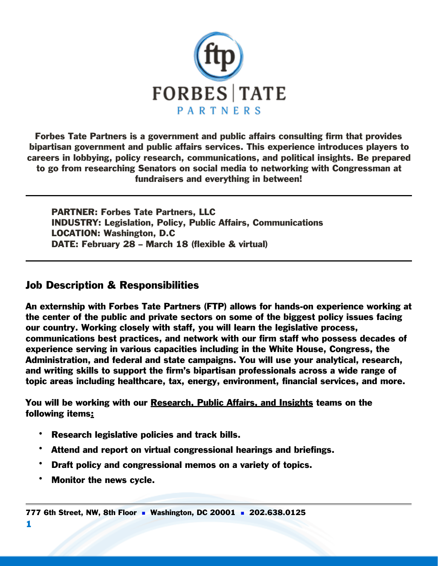

Forbes Tate Partners is a government and public affairs consulting firm that provides bipartisan government and public affairs services. This experience introduces players to careers in lobbying, policy research, communications, and political insights. Be prepared to go from researching Senators on social media to networking with Congressman at fundraisers and everything in between!

PARTNER: Forbes Tate Partners, LLC INDUSTRY: Legislation, Policy, Public Affairs, Communications LOCATION: Washington, D.C DATE: February 28 – March 18 (flexible & virtual)

## Job Description & Responsibilities

An externship with Forbes Tate Partners (FTP) allows for hands-on experience working at the center of the public and private sectors on some of the biggest policy issues facing our country. Working closely with staff, you will learn the legislative process, communications best practices, and network with our firm staff who possess decades of experience serving in various capacities including in the White House, Congress, the Administration, and federal and state campaigns. You will use your analytical, research, and writing skills to support the firm's bipartisan professionals across a wide range of topic areas including healthcare, tax, energy, environment, financial services, and more.

You will be working with our Research, Public Affairs, and Insights teams on the following items:

- Research legislative policies and track bills.
- Attend and report on virtual congressional hearings and briefings.
- Draft policy and congressional memos on a variety of topics.
- Monitor the news cycle.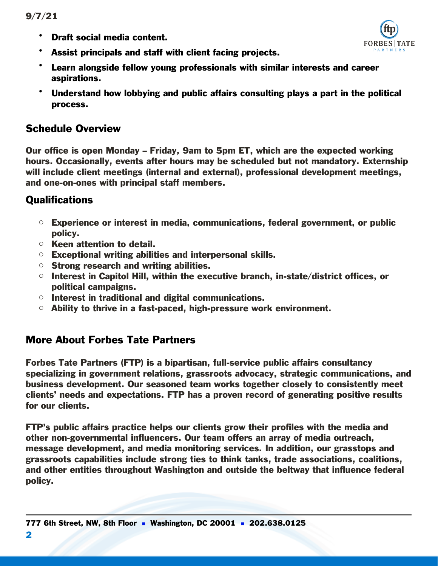• Draft social media content.



- Assist principals and staff with client facing projects.
- Learn alongside fellow young professionals with similar interests and career aspirations.
- Understand how lobbying and public affairs consulting plays a part in the political process.

# Schedule Overview

Our office is open Monday – Friday, 9am to 5pm ET, which are the expected working hours. Occasionally, events after hours may be scheduled but not mandatory. Externship will include client meetings (internal and external), professional development meetings, and one-on-ones with principal staff members.

# **Qualifications**

- $\circ$  Experience or interest in media, communications, federal government, or public policy.
- o Keen attention to detail.
- $\circ$  Exceptional writing abilities and interpersonal skills.
- $\circ$  Strong research and writing abilities.
- $\circ$  Interest in Capitol Hill, within the executive branch, in-state/district offices, or political campaigns.
- $\circ$  Interest in traditional and digital communications.
- $\circ$  Ability to thrive in a fast-paced, high-pressure work environment.

## More About Forbes Tate Partners

Forbes Tate Partners (FTP) is a bipartisan, full-service public affairs consultancy specializing in government relations, grassroots advocacy, strategic communications, and business development. Our seasoned team works together closely to consistently meet clients' needs and expectations. FTP has a proven record of generating positive results for our clients.

FTP's public affairs practice helps our clients grow their profiles with the media and other non-governmental influencers. Our team offers an array of media outreach, message development, and media monitoring services. In addition, our grasstops and grassroots capabilities include strong ties to think tanks, trade associations, coalitions, and other entities throughout Washington and outside the beltway that influence federal policy.